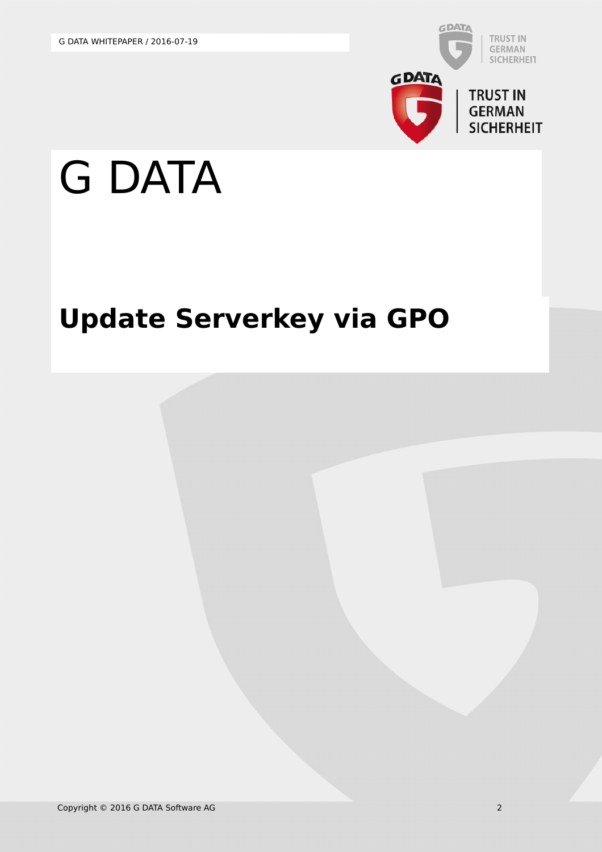

## G DATA

## **Update Serverkey via GPO**

Copyright © 2016 G DATA Software AG 2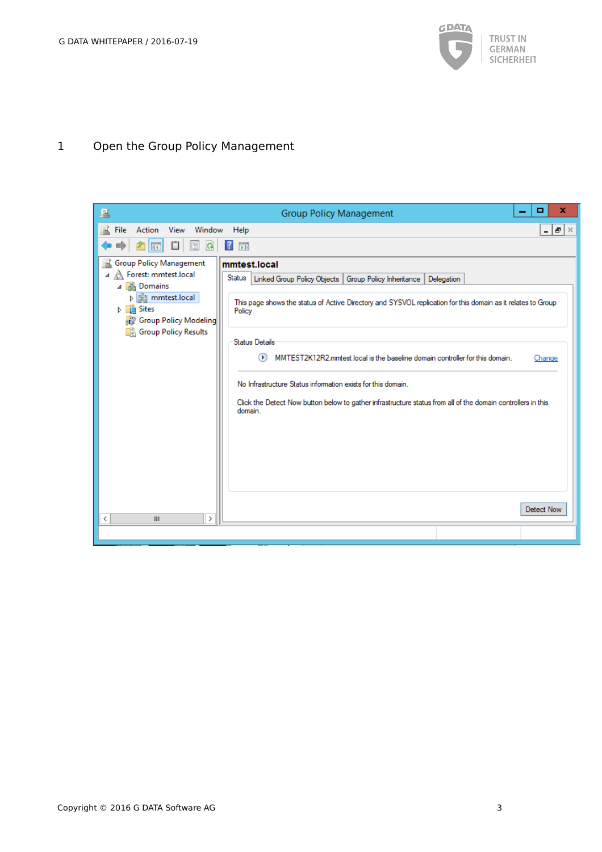

## 1 Open the Group Policy Management

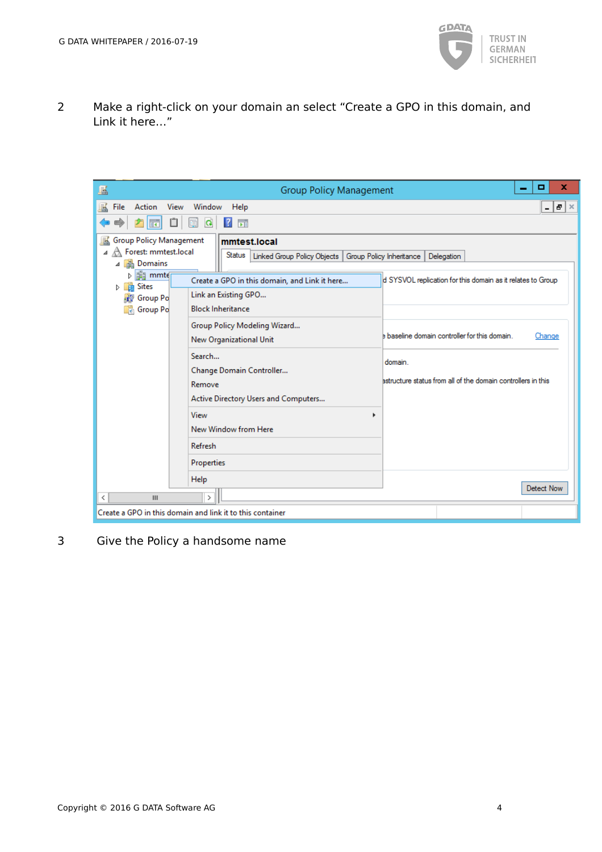

2 Make a right-click on your domain an select "Create a GPO in this domain, and Link it here…"

| 區<br><b>Group Policy Management</b>                                                                                                                                                                                                                                                                                                                                                                                                                                                                                                                                                               | x<br>▭                                                                                                                                                                                                                      |
|---------------------------------------------------------------------------------------------------------------------------------------------------------------------------------------------------------------------------------------------------------------------------------------------------------------------------------------------------------------------------------------------------------------------------------------------------------------------------------------------------------------------------------------------------------------------------------------------------|-----------------------------------------------------------------------------------------------------------------------------------------------------------------------------------------------------------------------------|
| 區<br>View<br>Window<br>File<br>Action<br>Help<br>自<br>固<br>$\vert$ ?<br>禪<br>Q<br>屙<br>c                                                                                                                                                                                                                                                                                                                                                                                                                                                                                                          | $B \times$<br>-                                                                                                                                                                                                             |
| <b>Group Policy Management</b><br>鼠<br>mmtest.local<br>Forest: mmtest.local<br>A<br>◢<br>Status<br>Linked Group Policy Objects   Group Policy Inheritance<br>4 <b>B</b> Domains<br><b>Ed mmtd</b><br>D.<br>Create a GPO in this domain, and Link it here<br><b>En</b> Sites<br>ь.<br>Link an Existing GPO<br><b>Group Po</b><br><b>Block Inheritance</b><br><b>R</b> Group Po<br>Group Policy Modeling Wizard<br>New Organizational Unit<br>Search<br>Change Domain Controller<br>Remove<br>Active Directory Users and Computers<br>View<br>New Window from Here<br>Refresh<br>Properties<br>Help | Delegation<br>d SYSVOL replication for this domain as it relates to Group<br>baseline domain controller for this domain.<br>Change<br>domain.<br>astructure status from all of the domain controllers in this<br>Detect Now |
| $\mathbf{H}$<br>$\,$<br>∢<br>Create a GPO in this domain and link it to this container                                                                                                                                                                                                                                                                                                                                                                                                                                                                                                            |                                                                                                                                                                                                                             |

3 Give the Policy a handsome name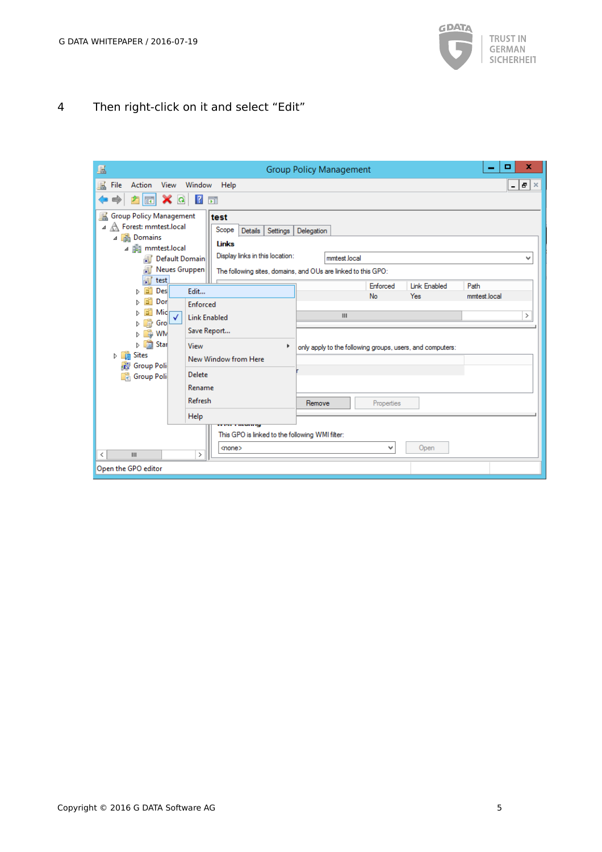

4 Then right-click on it and select "Edit"

| 垦                                                                                                                                                                                                                                                                                                             | <b>Group Policy Management</b>                                      |            |                     | x<br>▫       |
|---------------------------------------------------------------------------------------------------------------------------------------------------------------------------------------------------------------------------------------------------------------------------------------------------------------|---------------------------------------------------------------------|------------|---------------------|--------------|
| 基<br>Action<br>View<br>Window Help<br>File                                                                                                                                                                                                                                                                    |                                                                     |            |                     | - 15<br>l ×  |
| $\mathbf{x}$ of<br>$\sqrt{2}$<br>詞<br>菲                                                                                                                                                                                                                                                                       |                                                                     |            |                     |              |
| Group Policy Management<br>富<br>test<br>⊿ A Forest: mmtest.local<br>Scope<br><b>Details</b><br>Settings  <br>4 <b>B</b> Domains<br>Links<br>⊿ 手 mmtest.local<br>Display links in this location:<br>Default Domain<br>氭<br>扉<br>Neues Gruppen<br>The following sites, domains, and OUs are linked to this GPO: | Delegation<br>mmtest.local                                          |            |                     | v            |
| 偏<br>test<br>Gî<br>Des<br>Edit<br>Þ                                                                                                                                                                                                                                                                           |                                                                     | Enforced   | <b>Link Enabled</b> | Path         |
| <b>Dor</b><br><b>Enforced</b>                                                                                                                                                                                                                                                                                 |                                                                     | No         | Yes                 | mmtest.local |
| 6î<br>Mic<br>$\checkmark$<br><b>Link Enabled</b><br>G<br>Gro<br>$\triangleright$ 1                                                                                                                                                                                                                            | $\mathbf{III}$                                                      |            |                     | $\,>\,$      |
| Save Report<br>$\triangleright$ $\Box$ WM<br><b>D</b> 国 Star<br>View<br>Þ<br><b>D</b> Sites<br>New Window from Here<br><b>Group Poli</b><br>$\mathbf{r}$<br>Delete<br>Group Poli<br>r<br>Rename<br>Refresh<br>Help<br>o eo casang<br>This GPO is linked to the following WMI filter:                          | only apply to the following groups, users, and computers:<br>Remove | Properties |                     |              |
| <none><br/><math>\mathbf{III}</math><br/>∢<br/>&gt;</none>                                                                                                                                                                                                                                                    |                                                                     | ٧          | Open                |              |
| Open the GPO editor                                                                                                                                                                                                                                                                                           |                                                                     |            |                     |              |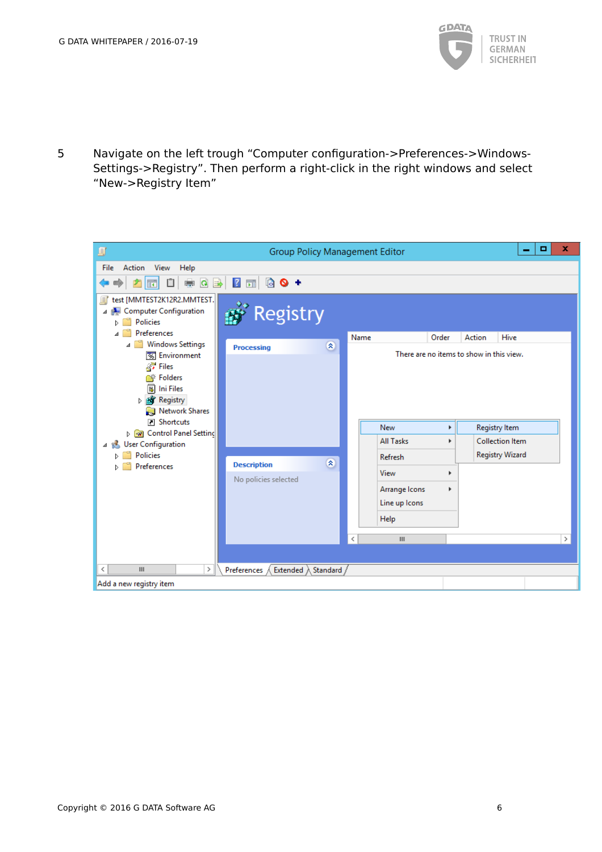

5 Navigate on the left trough "Computer configuration->Preferences->Windows-Settings->Registry". Then perform a right-click in the right windows and select "New->Registry Item"

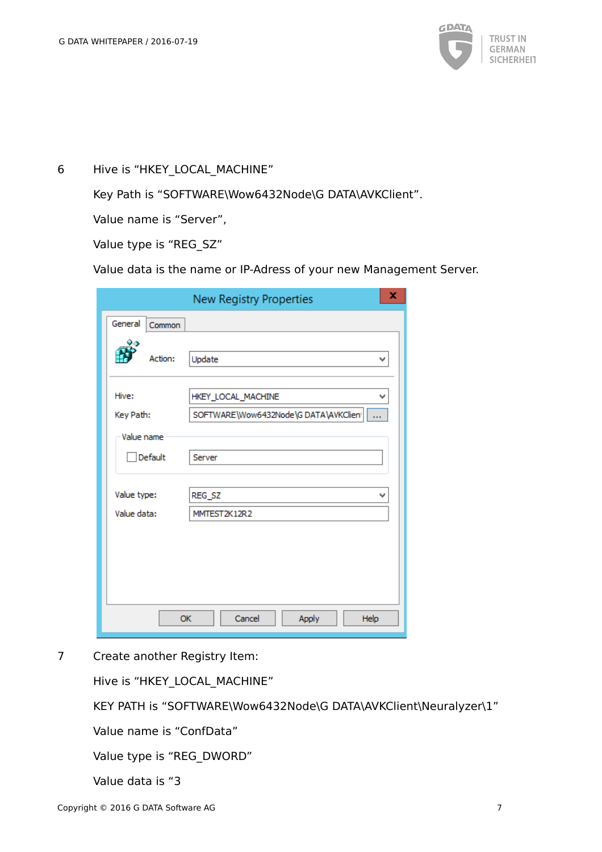

6 Hive is "HKEY\_LOCAL\_MACHINE"

Key Path is "SOFTWARE\Wow6432Node\G DATA\AVKClient".

Value name is "Server",

Value type is "REG\_SZ"

Value data is the name or IP-Adress of your new Management Server.

|                   | ×<br>New Registry Properties             |  |  |
|-------------------|------------------------------------------|--|--|
| General<br>Common |                                          |  |  |
| Action:           | Update<br>v                              |  |  |
| Hive:             | HKEY_LOCAL_MACHINE<br>v                  |  |  |
| Key Path:         | SOFTWARE\Wow6432Node\GDATA\AVKClienI<br> |  |  |
| Value name        |                                          |  |  |
| Default           | Server                                   |  |  |
| Value type:       | REG_SZ<br>v                              |  |  |
| Value data:       | MMTEST2K12R2                             |  |  |
|                   |                                          |  |  |
|                   | Cancel<br>Apply<br>Help<br><b>OK</b>     |  |  |

7 Create another Registry Item:

Hive is "HKEY\_LOCAL\_MACHINE"

KEY PATH is "SOFTWARE\Wow6432Node\G DATA\AVKClient\Neuralyzer\1"

Value name is "ConfData"

Value type is "REG\_DWORD"

Value data is "3